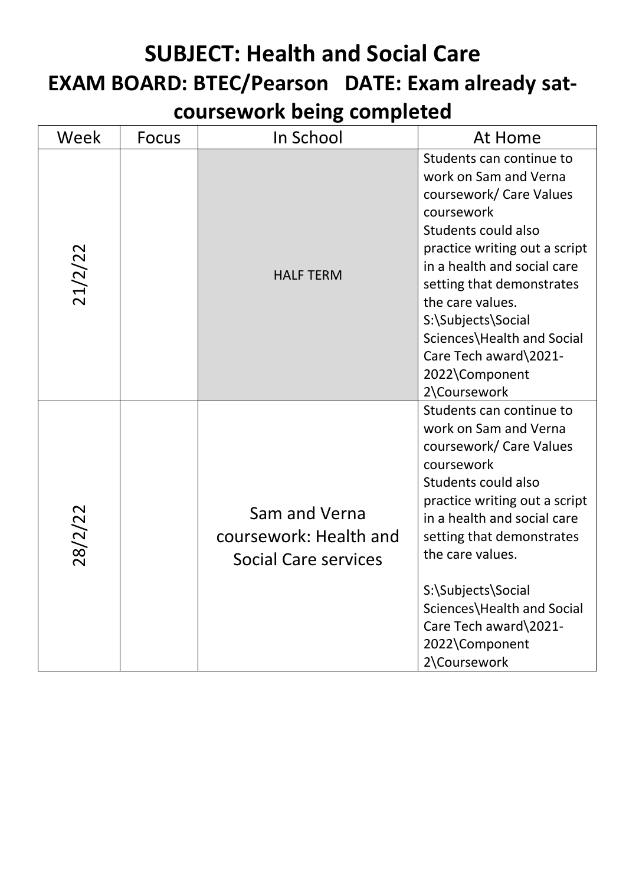## **SUBJECT: Health and Social Care EXAM BOARD: BTEC/Pearson DATE: Exam already satcoursework being completed**

| Week    | Focus | In School                                                              | At Home                                                                                                                                                                                                                                                                                                                                           |
|---------|-------|------------------------------------------------------------------------|---------------------------------------------------------------------------------------------------------------------------------------------------------------------------------------------------------------------------------------------------------------------------------------------------------------------------------------------------|
| 21/2/22 |       | <b>HALF TERM</b>                                                       | Students can continue to<br>work on Sam and Verna<br>coursework/ Care Values<br>coursework<br>Students could also<br>practice writing out a script<br>in a health and social care<br>setting that demonstrates<br>the care values.<br>S:\Subjects\Social<br>Sciences\Health and Social<br>Care Tech award\2021-<br>2022\Component<br>2\Coursework |
| 28/2/22 |       | Sam and Verna<br>coursework: Health and<br><b>Social Care services</b> | Students can continue to<br>work on Sam and Verna<br>coursework/ Care Values<br>coursework<br>Students could also<br>practice writing out a script<br>in a health and social care<br>setting that demonstrates<br>the care values.<br>S:\Subjects\Social<br>Sciences\Health and Social<br>Care Tech award\2021-<br>2022\Component<br>2\Coursework |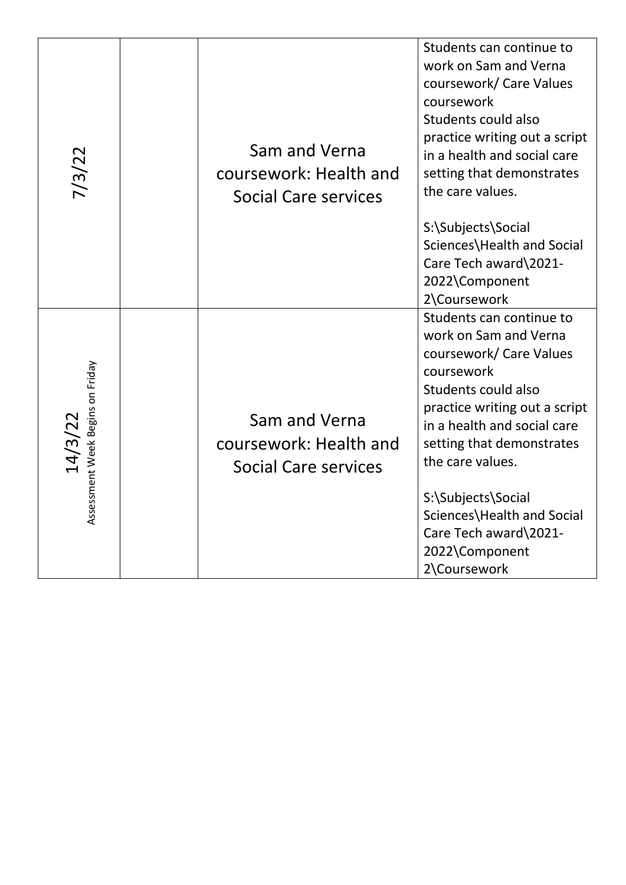| 7/3/22                                      | Sam and Verna<br>coursework: Health and<br><b>Social Care services</b> | Students can continue to<br>work on Sam and Verna<br>coursework/ Care Values<br>coursework<br>Students could also<br>practice writing out a script<br>in a health and social care<br>setting that demonstrates<br>the care values.<br>S:\Subjects\Social<br>Sciences\Health and Social |
|---------------------------------------------|------------------------------------------------------------------------|----------------------------------------------------------------------------------------------------------------------------------------------------------------------------------------------------------------------------------------------------------------------------------------|
|                                             |                                                                        | Care Tech award\2021-<br>2022\Component<br>2\Coursework                                                                                                                                                                                                                                |
| Assessment Week Begins on Friday<br>14/3/22 | Sam and Verna<br>coursework: Health and<br><b>Social Care services</b> | Students can continue to<br>work on Sam and Verna<br>coursework/ Care Values<br>coursework<br>Students could also<br>practice writing out a script<br>in a health and social care<br>setting that demonstrates<br>the care values.                                                     |
|                                             |                                                                        | S:\Subjects\Social<br>Sciences\Health and Social<br>Care Tech award\2021-<br>2022\Component<br>2\Coursework                                                                                                                                                                            |